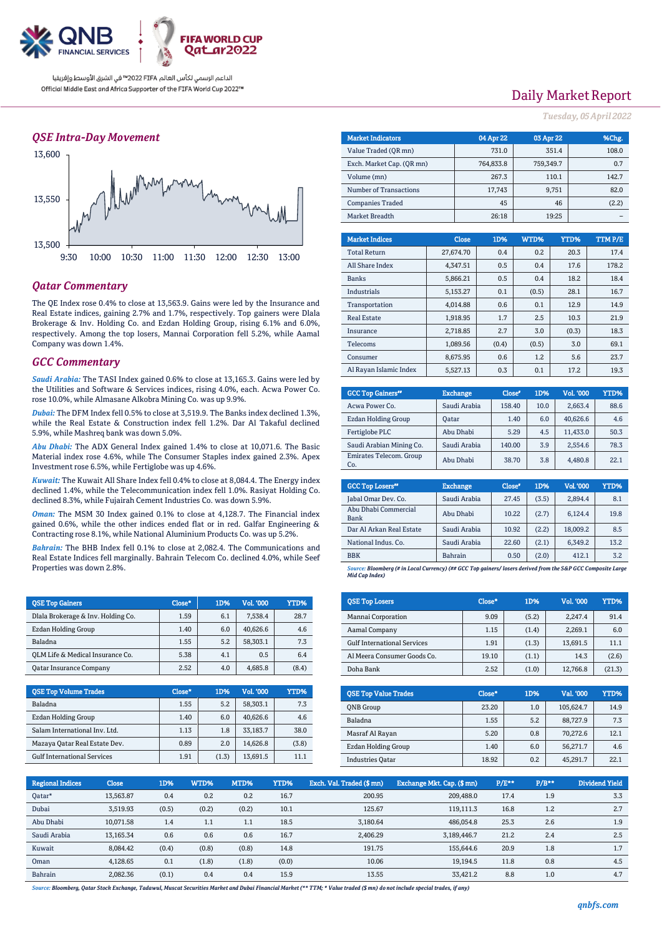

## *QSE Intra-Day Movement*



## *Qatar Commentary*

The QE Index rose 0.4% to close at 13,563.9. Gains were led by the Insurance and Real Estate indices, gaining 2.7% and 1.7%, respectively. Top gainers were Dlala Brokerage & Inv. Holding Co. and Ezdan Holding Group, rising 6.1% and 6.0%, respectively. Among the top losers, Mannai Corporation fell 5.2%, while Aamal Company was down 1.4%.

### *GCC Commentary*

*Saudi Arabia:* The TASI Index gained 0.6% to close at 13,165.3. Gains were led by the Utilities and Software & Services indices, rising 4.0%, each. Acwa Power Co. rose 10.0%, while Almasane Alkobra Mining Co. was up 9.9%.

*Dubai:* The DFM Index fell 0.5% to close at 3,519.9. The Banks index declined 1.3%, while the Real Estate & Construction index fell 1.2%. Dar Al Takaful declined 5.9%, while Mashreq bank was down 5.0%.

*Abu Dhabi:* The ADX General Index gained 1.4% to close at 10,071.6. The Basic Material index rose 4.6%, while The Consumer Staples index gained 2.3%. Apex Investment rose 6.5%, while Fertiglobe was up 4.6%.

*Kuwait:* The Kuwait All Share Index fell 0.4% to close at 8,084.4. The Energy index declined 1.4%, while the Telecommunication index fell 1.0%. Rasiyat Holding Co. declined 8.3%, while Fujairah Cement Industries Co. was down 5.9%.

*Oman:* The MSM 30 Index gained 0.1% to close at 4,128.7. The Financial index gained 0.6%, while the other indices ended flat or in red. Galfar Engineering & Contracting rose 8.1%, while National Aluminium Products Co. was up 5.2%.

*Bahrain:* The BHB Index fell 0.1% to close at 2,082.4. The Communications and Real Estate Indices fell marginally. Bahrain Telecom Co. declined 4.0%, while Seef Properties was down 2.8%.

| <b>OSE Top Gainers</b>             | Close* | 1D% | Vol. '000 | YTD%  |
|------------------------------------|--------|-----|-----------|-------|
| Dlala Brokerage & Inv. Holding Co. | 1.59   | 6.1 | 7.538.4   | 28.7  |
| Ezdan Holding Group                | 1.40   | 6.0 | 40.626.6  | 4.6   |
| Baladna                            | 1.55   | 5.2 | 58.303.1  | 7.3   |
| OLM Life & Medical Insurance Co.   | 5.38   | 4.1 | 0.5       | 6.4   |
| <b>Qatar Insurance Company</b>     | 2.52   | 4.0 | 4.685.8   | (8.4) |

| <b>QSE Top Volume Trades</b>       | $Close*$ | 1D%   | <b>Vol. '000</b> | YTD%  |
|------------------------------------|----------|-------|------------------|-------|
| Baladna                            | 1.55     | 5.2   | 58,303.1         | 7.3   |
| Ezdan Holding Group                | 1.40     | 6.0   | 40.626.6         | 4.6   |
| Salam International Inv. Ltd.      | 1.13     | 1.8   | 33.183.7         | 38.0  |
| Mazaya Qatar Real Estate Dev.      | 0.89     | 2.0   | 14.626.8         | (3.8) |
| <b>Gulf International Services</b> | 1.91     | (1.3) | 13,691.5         | 11.1  |

# Daily Market Report

*Tuesday, 05April 2022*

| <b>Market Indicators</b>  | 04 Apr 22 | 03 Apr 22 | %Chg. |
|---------------------------|-----------|-----------|-------|
| Value Traded (OR mn)      | 731.0     | 351.4     | 108.0 |
| Exch. Market Cap. (OR mn) | 764.833.8 | 759.349.7 | 0.7   |
| Volume (mn)               | 267.3     | 110.1     | 142.7 |
| Number of Transactions    | 17,743    | 9,751     | 82.0  |
| <b>Companies Traded</b>   | 45        | 46        | (2.2) |
| Market Breadth            | 26:18     | 19:25     |       |

| <b>Market Indices</b>  | <b>Close</b> | 1D%   | WTD%  | YTD%  | TTMP/E |
|------------------------|--------------|-------|-------|-------|--------|
| <b>Total Return</b>    | 27,674.70    | 0.4   | 0.2   | 20.3  | 17.4   |
| All Share Index        | 4.347.51     | 0.5   | 0.4   | 17.6  | 178.2  |
| <b>Banks</b>           | 5.866.21     | 0.5   | 0.4   | 18.2  | 18.4   |
| Industrials            | 5.153.27     | 0.1   | (0.5) | 28.1  | 16.7   |
| Transportation         | 4,014.88     | 0.6   | 0.1   | 12.9  | 14.9   |
| <b>Real Estate</b>     | 1.918.95     | 1.7   | 2.5   | 10.3  | 21.9   |
| Insurance              | 2.718.85     | 2.7   | 3.0   | (0.3) | 18.3   |
| <b>Telecoms</b>        | 1,089.56     | (0.4) | (0.5) | 3.0   | 69.1   |
| Consumer               | 8.675.95     | 0.6   | 1.2   | 5.6   | 23.7   |
| Al Ravan Islamic Index | 5.527.13     | 0.3   | 0.1   | 17.2  | 19.3   |

| <b>GCC Top Gainers</b> <sup>#</sup> | <b>Exchange</b> | Close* | 1D%  | Vol. '000 | YTD% |
|-------------------------------------|-----------------|--------|------|-----------|------|
| Acwa Power Co.                      | Saudi Arabia    | 158.40 | 10.0 | 2.663.4   | 88.6 |
| <b>Ezdan Holding Group</b>          | Oatar           | 1.40   | 6.0  | 40.626.6  | 4.6  |
| Fertiglobe PLC                      | Abu Dhabi       | 5.29   | 4.5  | 11.433.0  | 50.3 |
| Saudi Arabian Mining Co.            | Saudi Arabia    | 140.00 | 3.9  | 2.554.6   | 78.3 |
| Emirates Telecom. Group<br>Co.      | Abu Dhabi       | 38.70  | 3.8  | 4,480.8   | 22.1 |

| <b>GCC Top Losers</b> "      | <b>Exchange</b> | Close <sup>®</sup> | 1D%   | Vol.'000 | YTD% |
|------------------------------|-----------------|--------------------|-------|----------|------|
| Jabal Omar Dev. Co.          | Saudi Arabia    | 27.45              | (3.5) | 2.894.4  | 8.1  |
| Abu Dhabi Commercial<br>Bank | Abu Dhabi       | 10.22              | (2.7) | 6.124.4  | 19.8 |
| Dar Al Arkan Real Estate     | Saudi Arabia    | 10.92              | (2.2) | 18,009.2 | 8.5  |
| National Indus, Co.          | Saudi Arabia    | 22.60              | (2.1) | 6.349.2  | 13.2 |
| <b>BBK</b>                   | <b>Bahrain</b>  | 0.50               | (2.0) | 412.1    | 3.2  |
|                              |                 |                    |       |          |      |

*Source: Bloomberg (# in Local Currency) (## GCC Top gainers/ losers derived from the S&P GCC Composite Large Mid Cap Index)*

| <b>QSE Top Losers</b>              | Close* | 1D%   | Vol. '000 | YTD%   |
|------------------------------------|--------|-------|-----------|--------|
| Mannai Corporation                 | 9.09   | (5.2) | 2.247.4   | 91.4   |
| Aamal Company                      | 1.15   | (1.4) | 2.269.1   | 6.0    |
| <b>Gulf International Services</b> | 1.91   | (1.3) | 13.691.5  | 11.1   |
| Al Meera Consumer Goods Co.        | 19.10  | (1.1) | 14.3      | (2.6)  |
| Doha Bank                          | 2.52   | (1.0) | 12,766.8  | (21.3) |

| <b>OSE Top Value Trades</b> | Close* | 1D% | Val. '000 | YTD% |
|-----------------------------|--------|-----|-----------|------|
| <b>ONB</b> Group            | 23.20  | 1.0 | 105,624.7 | 14.9 |
| Baladna                     | 1.55   | 5.2 | 88.727.9  | 7.3  |
| Masraf Al Rayan             | 5.20   | 0.8 | 70.272.6  | 12.1 |
| Ezdan Holding Group         | 1.40   | 6.0 | 56.271.7  | 4.6  |
| <b>Industries Qatar</b>     | 18.92  | 0.2 | 45,291.7  | 22.1 |

| <b>Regional Indices</b> | <b>Close</b> | 1D%   | WTD%  | MTD%  | YTD%  | Exch. Val. Traded (\$ mn) | Exchange Mkt. Cap. (\$ mn) | $P/E***$ | $P/B**$ | Dividend Yield |
|-------------------------|--------------|-------|-------|-------|-------|---------------------------|----------------------------|----------|---------|----------------|
| Qatar*                  | 13,563.87    | 0.4   | 0.2   | 0.2   | 16.7  | 200.95                    | 209,488.0                  | 17.4     | 1.9     | 3.3            |
| Dubai                   | 3.519.93     | (0.5) | (0.2) | (0.2) | 10.1  | 125.67                    | 119.111.3                  | 16.8     | 1.2     | 2.7            |
| Abu Dhabi               | 10.071.58    | 1.4   | 1.1   | 1.1   | 18.5  | 3.180.64                  | 486.054.8                  | 25.3     | 2.6     | 1.9            |
| Saudi Arabia            | 13,165.34    | 0.6   | 0.6   | 0.6   | 16.7  | 2,406.29                  | 3.189.446.7                | 21.2     | 2.4     | 2.5            |
| Kuwait                  | 8.084.42     | (0.4) | (0.8) | (0.8) | 14.8  | 191.75                    | 155,644.6                  | 20.9     | 1.8     | 1.7            |
| Oman                    | 4,128.65     | 0.1   | (1.8) | (1.8) | (0.0) | 10.06                     | 19,194.5                   | 11.8     | 0.8     | 4.5            |
| Bahrain                 | 2.082.36     | (0.1) | 0.4   | 0.4   | 15.9  | 13.55                     | 33.421.2                   | 8.8      | 1.0     | 4.7            |

*Source: Bloomberg, Qatar Stock Exchange, Tadawul, Muscat Securities Market and Dubai Financial Market (\*\* TTM; \* Value traded (\$ mn) do not include special trades, if any)*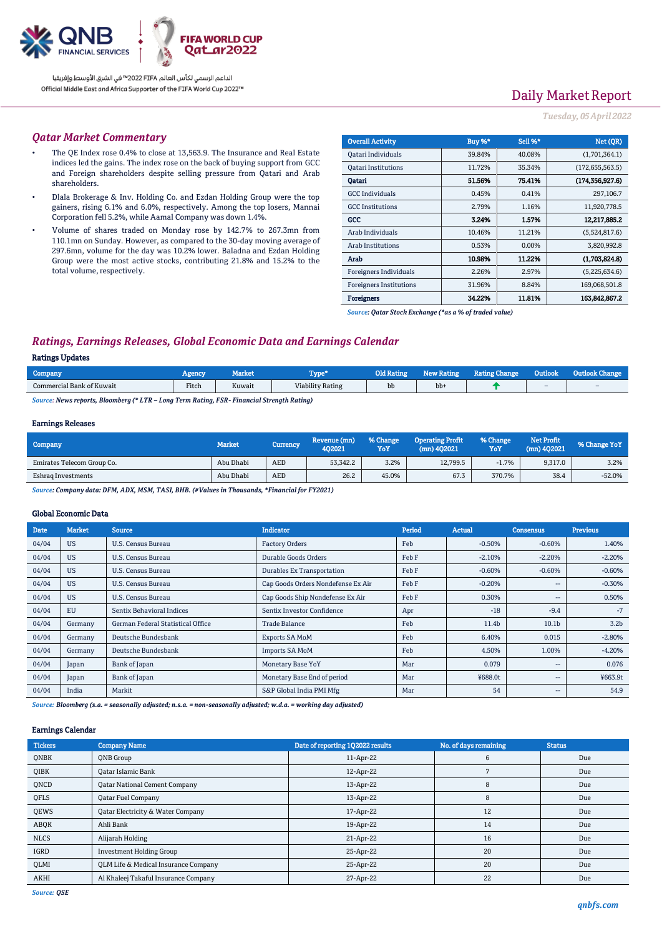

# Daily Market Report

### *Tuesday, 05April 2022*

#### *Qatar Market Commentary*

- The QE Index rose 0.4% to close at 13,563.9. The Insurance and Real Estate indices led the gains. The index rose on the back of buying support from GCC and Foreign shareholders despite selling pressure from Qatari and Arab shareholders.
- Dlala Brokerage & Inv. Holding Co. and Ezdan Holding Group were the top gainers, rising 6.1% and 6.0%, respectively. Among the top losers, Mannai Corporation fell 5.2%, while Aamal Company was down 1.4%.
- Volume of shares traded on Monday rose by 142.7% to 267.3mn from 110.1mn on Sunday. However, as compared to the 30-day moving average of 297.6mn, volume for the day was 10.2% lower. Baladna and Ezdan Holding Group were the most active stocks, contributing 21.8% and 15.2% to the total volume, respectively.

| <b>Overall Activity</b>        | Buy %* | Sell %*  | Net (OR)          |
|--------------------------------|--------|----------|-------------------|
| Oatari Individuals             | 39.84% | 40.08%   | (1,701,364.1)     |
| <b>Oatari Institutions</b>     | 11.72% | 35.34%   | (172, 655, 563.5) |
| Oatari                         | 51.56% | 75.41%   | (174, 356, 927.6) |
| <b>GCC</b> Individuals         | 0.45%  | 0.41%    | 297,106.7         |
| <b>GCC</b> Institutions        | 2.79%  | 1.16%    | 11,920,778.5      |
| GCC                            | 3.24%  | 1.57%    | 12.217.885.2      |
| Arab Individuals               | 10.46% | 11.21%   | (5,524,817.6)     |
| Arab Institutions              | 0.53%  | $0.00\%$ | 3,820,992.8       |
| Arab                           | 10.98% | 11.22%   | (1.703.824.8)     |
| Foreigners Individuals         | 2.26%  | 2.97%    | (5,225,634.6)     |
| <b>Foreigners Institutions</b> | 31.96% | 8.84%    | 169,068,501.8     |
| <b>Foreigners</b>              | 34.22% | 11.81%   | 163,842,867.2     |

*Source: Qatar Stock Exchange (\*as a % of traded value)*

## *Ratings, Earnings Releases, Global Economic Data and Earnings Calendar*

#### Ratings Updates

| Company                   | <b>Agency</b> | Market | "vpe*                   |    | Rating | <b>Rating Change</b><br><b>Kating Cha</b> | Outlook | <b>Cutloon</b>           |
|---------------------------|---------------|--------|-------------------------|----|--------|-------------------------------------------|---------|--------------------------|
| Commercial Bank of Kuwait | Fitch         | Kuwait | <b>Viability Rating</b> | bb | bb+    |                                           | $\sim$  | $\overline{\phantom{a}}$ |
|                           |               |        |                         |    |        |                                           |         |                          |

*Source: News reports, Bloomberg (\* LTR – Long Term Rating, FSR- Financial Strength Rating)*

#### Earnings Releases

| Company                    | <b>Market</b> | Currency , | Revenue (mn)<br>402021 | % Change<br>YoY | <b>Operating Profit</b><br>(mn) 402021 | % Change<br>YoY | <b>Net Profit</b><br>$(mn)$ 402021 | % Change YoY |
|----------------------------|---------------|------------|------------------------|-----------------|----------------------------------------|-----------------|------------------------------------|--------------|
| Emirates Telecom Group Co. | Abu Dhabi     | <b>AED</b> | 53,342.2               | 3.2%            | 12.799.5                               | $-1.7%$         | 9.317.0                            | 3.2%         |
| Eshrag Investments         | Abu Dhabi     | <b>AED</b> | 26.2                   | 45.0%           | 67.3                                   | 370.7%          | 38.4                               | $-52.0%$     |

*Source: Company data: DFM, ADX, MSM, TASI, BHB. (#Values in Thousands, \*Financial for FY2021)*

#### Global Economic Data

| <b>Date</b> | <b>Market</b> | <b>Source</b>                     | <b>Indicator</b>                                        | Period | <b>Actual</b>            | <b>Consensus</b>         | <b>Previous</b>  |
|-------------|---------------|-----------------------------------|---------------------------------------------------------|--------|--------------------------|--------------------------|------------------|
| 04/04       | <b>US</b>     | U.S. Census Bureau                | Feb<br><b>Factory Orders</b><br>$-0.50%$                |        | $-0.60%$                 | 1.40%                    |                  |
| 04/04       | <b>US</b>     | U.S. Census Bureau                | Durable Goods Orders<br>Feb F<br>$-2.10%$               |        | $-2.20%$                 | $-2.20%$                 |                  |
| 04/04       | <b>US</b>     | U.S. Census Bureau                | <b>Durables Ex Transportation</b><br>Feb F<br>$-0.60%$  |        | $-0.60%$                 | $-0.60%$                 |                  |
| 04/04       | <b>US</b>     | U.S. Census Bureau                | Cap Goods Orders Nondefense Ex Air<br>Feb F<br>$-0.20%$ |        | $\overline{\phantom{m}}$ | $-0.30%$                 |                  |
| 04/04       | <b>US</b>     | U.S. Census Bureau                | Cap Goods Ship Nondefense Ex Air                        | Feb F  | 0.30%                    | $\overline{\phantom{m}}$ | 0.50%            |
| 04/04       | EU            | Sentix Behavioral Indices         | Sentix Investor Confidence                              | Apr    | $-18$                    | $-9.4$                   | $-7$             |
| 04/04       | Germany       | German Federal Statistical Office | Trade Balance                                           | Feb    | 11.4b                    | 10.1 <sub>b</sub>        | 3.2 <sub>b</sub> |
| 04/04       | Germany       | Deutsche Bundesbank               | <b>Exports SA MoM</b>                                   | Feb    | 6.40%                    | 0.015                    | $-2.80%$         |
| 04/04       | Germany       | Deutsche Bundesbank               | <b>Imports SA MoM</b>                                   | Feb    | 4.50%                    | 1.00%                    | $-4.20%$         |
| 04/04       | Japan         | Bank of Japan                     | Monetary Base YoY                                       | Mar    | 0.079                    | $\overline{\phantom{a}}$ | 0.076            |
| 04/04       | Japan         | Bank of Japan                     | Monetary Base End of period                             | Mar    | ¥688.0t                  | $\overline{\phantom{m}}$ | ¥663.9t          |
| 04/04       | India         | Markit                            | S&P Global India PMI Mfg                                | Mar    | 54                       | $\overline{\phantom{m}}$ | 54.9             |

*Source: Bloomberg (s.a. = seasonally adjusted; n.s.a. = non-seasonally adjusted; w.d.a. = working day adjusted)*

#### Earnings Calendar

| <b>Tickers</b> | <b>Company Name</b>                          | Date of reporting 1Q2022 results | No. of days remaining | <b>Status</b> |
|----------------|----------------------------------------------|----------------------------------|-----------------------|---------------|
| <b>ONBK</b>    | <b>ONB</b> Group                             | 11-Apr-22                        | 6                     | Due           |
| QIBK           | Qatar Islamic Bank                           | 12-Apr-22                        |                       | Due           |
| QNCD           | <b>Qatar National Cement Company</b>         | 13-Apr-22                        | 8                     | Due           |
| QFLS           | <b>Qatar Fuel Company</b>                    | 13-Apr-22                        | 8                     | Due           |
| QEWS           | <b>Qatar Electricity &amp; Water Company</b> | 17-Apr-22                        | 12                    | Due           |
| ABQK           | Ahli Bank                                    | 19-Apr-22                        | 14                    | Due           |
| <b>NLCS</b>    | Alijarah Holding                             | 21-Apr-22                        | 16                    | Due           |
| IGRD           | <b>Investment Holding Group</b>              | 25-Apr-22                        | 20                    | Due           |
| QLMI           | QLM Life & Medical Insurance Company         | 25-Apr-22                        | 20                    | Due           |
| AKHI           | Al Khaleej Takaful Insurance Company         | 27-Apr-22                        | 22                    | Due           |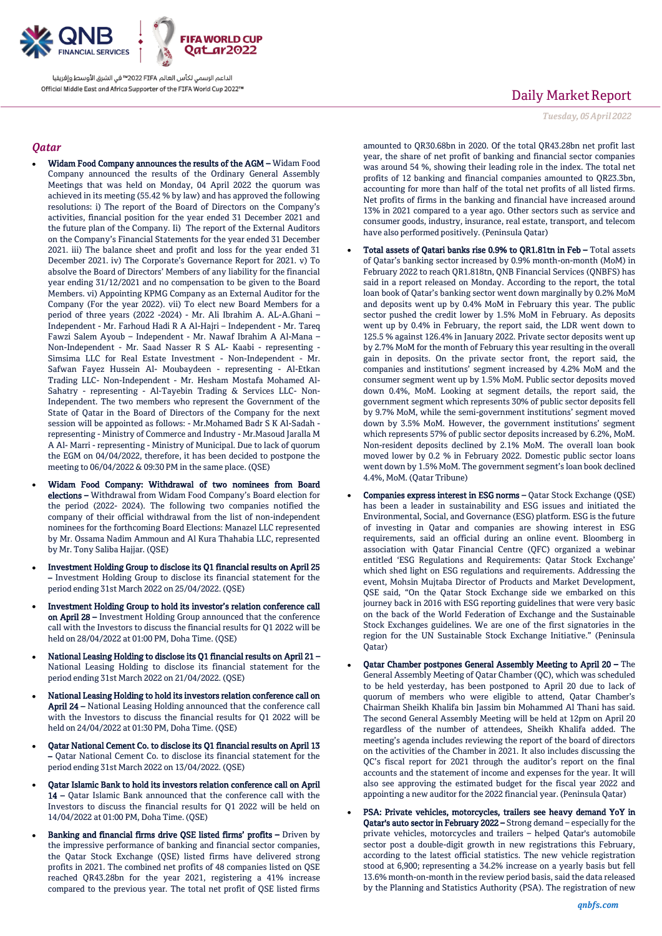

## *Qatar*

- Widam Food Company announces the results of the AGM Widam Food Company announced the results of the Ordinary General Assembly Meetings that was held on Monday, 04 April 2022 the quorum was achieved in its meeting (55.42 % by law) and has approved the following resolutions: i) The report of the Board of Directors on the Company's activities, financial position for the year ended 31 December 2021 and the future plan of the Company. Ii) The report of the External Auditors on the Company's Financial Statements for the year ended 31 December 2021. iii) The balance sheet and profit and loss for the year ended 31 December 2021. iv) The Corporate's Governance Report for 2021. v) To absolve the Board of Directors' Members of any liability for the financial year ending 31/12/2021 and no compensation to be given to the Board Members. vi) Appointing KPMG Company as an External Auditor for the Company (For the year 2022). vii) To elect new Board Members for a period of three years (2022 -2024) - Mr. Ali Ibrahim A. AL-A.Ghani – Independent - Mr. Farhoud Hadi R A Al-Hajri – Independent - Mr. Tareq Fawzi Salem Ayoub – Independent - Mr. Nawaf Ibrahim A Al-Mana – Non-Independent - Mr. Saad Nasser R S AL- Kaabi - representing - Simsima LLC for Real Estate Investment - Non-Independent - Mr. Safwan Fayez Hussein Al- Moubaydeen - representing - Al-Etkan Trading LLC- Non-Independent - Mr. Hesham Mostafa Mohamed Al-Sahatry - representing - Al-Tayebin Trading & Services LLC- Non-Independent. The two members who represent the Government of the State of Qatar in the Board of Directors of the Company for the next session will be appointed as follows: - Mr.Mohamed Badr S K Al-Sadah representing - Ministry of Commerce and Industry - Mr.Masoud Jaralla M A Al- Marri - representing - Ministry of Municipal. Due to lack of quorum the EGM on 04/04/2022, therefore, it has been decided to postpone the meeting to 06/04/2022 & 09:30 PM in the same place. (QSE)
- Widam Food Company: Withdrawal of two nominees from Board elections – Withdrawal from Widam Food Company's Board election for the period (2022- 2024). The following two companies notified the company of their official withdrawal from the list of non-independent nominees for the forthcoming Board Elections: Manazel LLC represented by Mr. Ossama Nadim Ammoun and Al Kura Thahabia LLC, represented by Mr. Tony Saliba Hajjar. (QSE)
- Investment Holding Group to disclose its Q1 financial results on April 25 – Investment Holding Group to disclose its financial statement for the period ending 31st March 2022 on 25/04/2022. (QSE)
- Investment Holding Group to hold its investor's relation conference call on April 28 – Investment Holding Group announced that the conference call with the Investors to discuss the financial results for Q1 2022 will be held on 28/04/2022 at 01:00 PM, Doha Time. (QSE)
- National Leasing Holding to disclose its Q1 financial results on April 21 National Leasing Holding to disclose its financial statement for the period ending 31st March 2022 on 21/04/2022. (QSE)
- National Leasing Holding to hold its investors relation conference call on April 24 – National Leasing Holding announced that the conference call with the Investors to discuss the financial results for Q1 2022 will be held on 24/04/2022 at 01:30 PM, Doha Time. (QSE)
- Qatar National Cement Co. to disclose its Q1 financial results on April 13 – Qatar National Cement Co. to disclose its financial statement for the period ending 31st March 2022 on 13/04/2022. (QSE)
- Qatar Islamic Bank to hold its investors relation conference call on April 14 – Qatar Islamic Bank announced that the conference call with the Investors to discuss the financial results for Q1 2022 will be held on 14/04/2022 at 01:00 PM, Doha Time. (QSE)
- Banking and financial firms drive QSE listed firms' profits Driven by the impressive performance of banking and financial sector companies, the Qatar Stock Exchange (QSE) listed firms have delivered strong profits in 2021. The combined net profits of 48 companies listed on QSE reached QR43.28bn for the year 2021, registering a 41% increase compared to the previous year. The total net profit of QSE listed firms

# Daily Market Report

*Tuesday, 05April 2022*

amounted to QR30.68bn in 2020. Of the total QR43.28bn net profit last year, the share of net profit of banking and financial sector companies was around 54 %, showing their leading role in the index. The total net profits of 12 banking and financial companies amounted to QR23.3bn, accounting for more than half of the total net profits of all listed firms. Net profits of firms in the banking and financial have increased around 13% in 2021 compared to a year ago. Other sectors such as service and consumer goods, industry, insurance, real estate, transport, and telecom have also performed positively. (Peninsula Qatar)

- Total assets of Qatari banks rise 0.9% to QR1.81tn in Feb Total assets of Qatar's banking sector increased by 0.9% month-on-month (MoM) in February 2022 to reach QR1.818tn, QNB Financial Services (QNBFS) has said in a report released on Monday. According to the report, the total loan book of Qatar's banking sector went down marginally by 0.2% MoM and deposits went up by 0.4% MoM in February this year. The public sector pushed the credit lower by 1.5% MoM in February. As deposits went up by 0.4% in February, the report said, the LDR went down to 125.5 % against 126.4% in January 2022. Private sector deposits went up by 2.7% MoM for the month of February this year resulting in the overall gain in deposits. On the private sector front, the report said, the companies and institutions' segment increased by 4.2% MoM and the consumer segment went up by 1.5% MoM. Public sector deposits moved down 0.4%, MoM. Looking at segment details, the report said, the government segment which represents 30% of public sector deposits fell by 9.7% MoM, while the semi-government institutions' segment moved down by 3.5% MoM. However, the government institutions' segment which represents 57% of public sector deposits increased by 6.2%, MoM. Non-resident deposits declined by 2.1% MoM. The overall loan book moved lower by 0.2 % in February 2022. Domestic public sector loans went down by 1.5% MoM. The government segment's loan book declined 4.4%, MoM. (Qatar Tribune)
- Companies express interest in ESG norms Qatar Stock Exchange (QSE) has been a leader in sustainability and ESG issues and initiated the Environmental, Social, and Governance (ESG) platform. ESG is the future of investing in Qatar and companies are showing interest in ESG requirements, said an official during an online event. Bloomberg in association with Qatar Financial Centre (QFC) organized a webinar entitled 'ESG Regulations and Requirements: Qatar Stock Exchange' which shed light on ESG regulations and requirements. Addressing the event, Mohsin Mujtaba Director of Products and Market Development, QSE said, "On the Qatar Stock Exchange side we embarked on this journey back in 2016 with ESG reporting guidelines that were very basic on the back of the World Federation of Exchange and the Sustainable Stock Exchanges guidelines. We are one of the first signatories in the region for the UN Sustainable Stock Exchange Initiative." (Peninsula Qatar)
- Qatar Chamber postpones General Assembly Meeting to April 20 The General Assembly Meeting of Qatar Chamber (QC), which was scheduled to be held yesterday, has been postponed to April 20 due to lack of quorum of members who were eligible to attend, Qatar Chamber's Chairman Sheikh Khalifa bin Jassim bin Mohammed Al Thani has said. The second General Assembly Meeting will be held at 12pm on April 20 regardless of the number of attendees, Sheikh Khalifa added. The meeting's agenda includes reviewing the report of the board of directors on the activities of the Chamber in 2021. It also includes discussing the QC's fiscal report for 2021 through the auditor's report on the final accounts and the statement of income and expenses for the year. It will also see approving the estimated budget for the fiscal year 2022 and appointing a new auditor for the 2022 financial year. (Peninsula Qatar)
- PSA: Private vehicles, motorcycles, trailers see heavy demand YoY in Qatar's auto sector in February 2022 – Strong demand – especially for the private vehicles, motorcycles and trailers – helped Qatar's automobile sector post a double-digit growth in new registrations this February, according to the latest official statistics. The new vehicle registration stood at 6,900; representing a 34.2% increase on a yearly basis but fell 13.6% month-on-month in the review period basis, said the data released by the Planning and Statistics Authority (PSA). The registration of new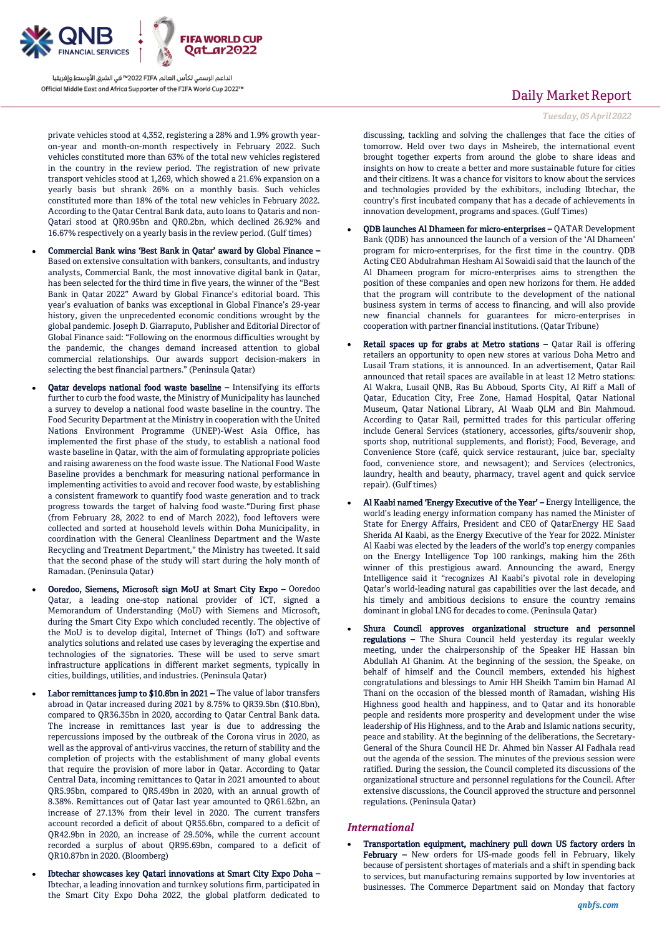

private vehicles stood at 4,352, registering a 28% and 1.9% growth yearon-year and month-on-month respectively in February 2022. Such vehicles constituted more than 63% of the total new vehicles registered in the country in the review period. The registration of new private transport vehicles stood at 1,269, which showed a 21.6% expansion on a yearly basis but shrank 26% on a monthly basis. Such vehicles constituted more than 18% of the total new vehicles in February 2022. According to the Qatar Central Bank data, auto loans to Qataris and non-Qatari stood at QR0.95bn and QR0.2bn, which declined 26.92% and 16.67% respectively on a yearly basis in the review period. (Gulf times)

- Commercial Bank wins 'Best Bank in Qatar' award by Global Finance Based on extensive consultation with bankers, consultants, and industry analysts, Commercial Bank, the most innovative digital bank in Qatar, has been selected for the third time in five years, the winner of the "Best Bank in Qatar 2022" Award by Global Finance's editorial board. This year's evaluation of banks was exceptional in Global Finance's 29-year history, given the unprecedented economic conditions wrought by the global pandemic. Joseph D. Giarraputo, Publisher and Editorial Director of Global Finance said: "Following on the enormous difficulties wrought by the pandemic, the changes demand increased attention to global commercial relationships. Our awards support decision-makers in selecting the best financial partners." (Peninsula Qatar)
- Qatar develops national food waste baseline Intensifying its efforts further to curb the food waste, the Ministry of Municipality has launched a survey to develop a national food waste baseline in the country. The Food Security Department at the Ministry in cooperation with the United Nations Environment Programme (UNEP)-West Asia Office, has implemented the first phase of the study, to establish a national food waste baseline in Qatar, with the aim of formulating appropriate policies and raising awareness on the food waste issue. The National Food Waste Baseline provides a benchmark for measuring national performance in implementing activities to avoid and recover food waste, by establishing a consistent framework to quantify food waste generation and to track progress towards the target of halving food waste."During first phase (from February 28, 2022 to end of March 2022), food leftovers were collected and sorted at household levels within Doha Municipality, in coordination with the General Cleanliness Department and the Waste Recycling and Treatment Department," the Ministry has tweeted. It said that the second phase of the study will start during the holy month of Ramadan. (Peninsula Qatar)
- Ooredoo, Siemens, Microsoft sign MoU at Smart City Expo Ooredoo Qatar, a leading one-stop national provider of ICT, signed a Memorandum of Understanding (MoU) with Siemens and Microsoft, during the Smart City Expo which concluded recently. The objective of the MoU is to develop digital, Internet of Things (IoT) and software analytics solutions and related use cases by leveraging the expertise and technologies of the signatories. These will be used to serve smart infrastructure applications in different market segments, typically in cities, buildings, utilities, and industries. (Peninsula Qatar)
- Labor remittances jump to \$10.8bn in 2021 The value of labor transfers abroad in Qatar increased during 2021 by 8.75% to QR39.5bn (\$10.8bn), compared to QR36.35bn in 2020, according to Qatar Central Bank data. The increase in remittances last year is due to addressing the repercussions imposed by the outbreak of the Corona virus in 2020, as well as the approval of anti-virus vaccines, the return of stability and the completion of projects with the establishment of many global events that require the provision of more labor in Qatar. According to Qatar Central Data, incoming remittances to Qatar in 2021 amounted to about QR5.95bn, compared to QR5.49bn in 2020, with an annual growth of 8.38%. Remittances out of Qatar last year amounted to QR61.62bn, an increase of 27.13% from their level in 2020. The current transfers account recorded a deficit of about QR55.6bn, compared to a deficit of QR42.9bn in 2020, an increase of 29.50%, while the current account recorded a surplus of about QR95.69bn, compared to a deficit of QR10.87bn in 2020. (Bloomberg)
- Ibtechar showcases key Qatari innovations at Smart City Expo Doha Ibtechar, a leading innovation and turnkey solutions firm, participated in the Smart City Expo Doha 2022, the global platform dedicated to

# Daily Market Report

*Tuesday, 05April 2022*

discussing, tackling and solving the challenges that face the cities of tomorrow. Held over two days in Msheireb, the international event brought together experts from around the globe to share ideas and insights on how to create a better and more sustainable future for cities and their citizens. It was a chance for visitors to know about the services and technologies provided by the exhibitors, including Ibtechar, the country's first incubated company that has a decade of achievements in innovation development, programs and spaces. (Gulf Times)

- QDB launches Al Dhameen for micro-enterprises QATAR Development Bank (QDB) has announced the launch of a version of the 'Al Dhameen' program for micro-enterprises, for the first time in the country. QDB Acting CEO Abdulrahman Hesham Al Sowaidi said that the launch of the Al Dhameen program for micro-enterprises aims to strengthen the position of these companies and open new horizons for them. He added that the program will contribute to the development of the national business system in terms of access to financing, and will also provide new financial channels for guarantees for micro-enterprises in cooperation with partner financial institutions. (Qatar Tribune)
- Retail spaces up for grabs at Metro stations Qatar Rail is offering retailers an opportunity to open new stores at various Doha Metro and Lusail Tram stations, it is announced. In an advertisement, Qatar Rail announced that retail spaces are available in at least 12 Metro stations: Al Wakra, Lusail QNB, Ras Bu Abboud, Sports City, Al Riff a Mall of Qatar, Education City, Free Zone, Hamad Hospital, Qatar National Museum, Qatar National Library, Al Waab QLM and Bin Mahmoud. According to Qatar Rail, permitted trades for this particular offering include General Services (stationery, accessories, gifts/souvenir shop, sports shop, nutritional supplements, and florist); Food, Beverage, and Convenience Store (café, quick service restaurant, juice bar, specialty food, convenience store, and newsagent); and Services (electronics, laundry, health and beauty, pharmacy, travel agent and quick service repair). (Gulf times)
- Al Kaabi named 'Energy Executive of the Year' Energy Intelligence, the world's leading energy information company has named the Minister of State for Energy Affairs, President and CEO of QatarEnergy HE Saad Sherida Al Kaabi, as the Energy Executive of the Year for 2022. Minister Al Kaabi was elected by the leaders of the world's top energy companies on the Energy Intelligence Top 100 rankings, making him the 26th winner of this prestigious award. Announcing the award, Energy Intelligence said it "recognizes Al Kaabi's pivotal role in developing Qatar's world-leading natural gas capabilities over the last decade, and his timely and ambitious decisions to ensure the country remains dominant in global LNG for decades to come. (Peninsula Qatar)
- Shura Council approves organizational structure and personnel regulations – The Shura Council held yesterday its regular weekly meeting, under the chairpersonship of the Speaker HE Hassan bin Abdullah Al Ghanim. At the beginning of the session, the Speake, on behalf of himself and the Council members, extended his highest congratulations and blessings to Amir HH Sheikh Tamim bin Hamad Al Thani on the occasion of the blessed month of Ramadan, wishing His Highness good health and happiness, and to Qatar and its honorable people and residents more prosperity and development under the wise leadership of His Highness, and to the Arab and Islamic nations security, peace and stability. At the beginning of the deliberations, the Secretary-General of the Shura Council HE Dr. Ahmed bin Nasser Al Fadhala read out the agenda of the session. The minutes of the previous session were ratified. During the session, the Council completed its discussions of the organizational structure and personnel regulations for the Council. After extensive discussions, the Council approved the structure and personnel regulations. (Peninsula Qatar)

## *International*

 Transportation equipment, machinery pull down US factory orders in February - New orders for US-made goods fell in February, likely because of persistent shortages of materials and a shift in spending back to services, but manufacturing remains supported by low inventories at businesses. The Commerce Department said on Monday that factory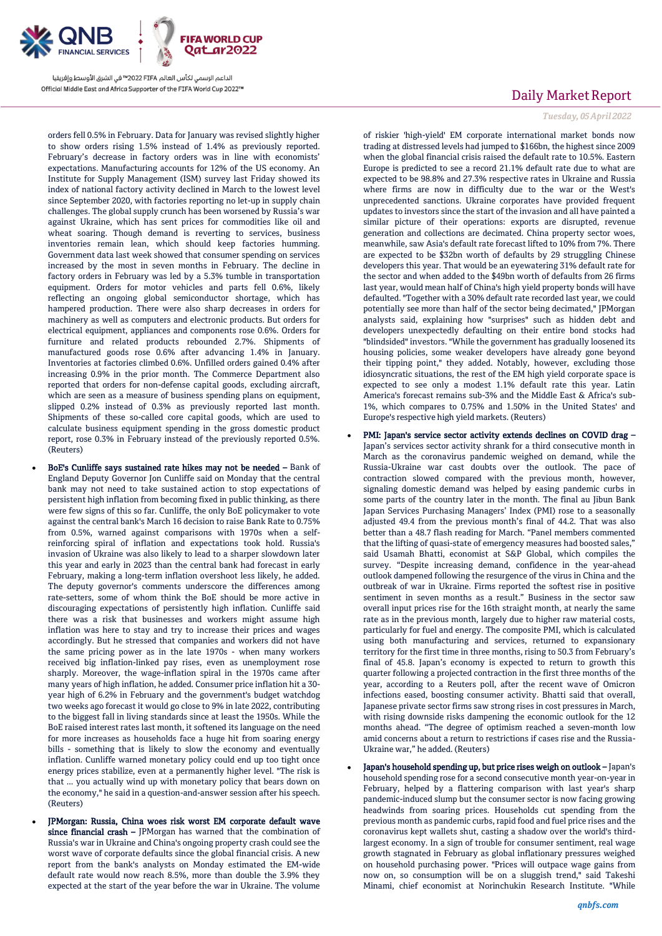

orders fell 0.5% in February. Data for January was revised slightly higher to show orders rising 1.5% instead of 1.4% as previously reported. February's decrease in factory orders was in line with economists' expectations. Manufacturing accounts for 12% of the US economy. An Institute for Supply Management (ISM) survey last Friday showed its index of national factory activity declined in March to the lowest level since September 2020, with factories reporting no let-up in supply chain challenges. The global supply crunch has been worsened by Russia's war against Ukraine, which has sent prices for commodities like oil and wheat soaring. Though demand is reverting to services, business inventories remain lean, which should keep factories humming. Government data last week showed that consumer spending on services increased by the most in seven months in February. The decline in factory orders in February was led by a 5.3% tumble in transportation equipment. Orders for motor vehicles and parts fell 0.6%, likely reflecting an ongoing global semiconductor shortage, which has hampered production. There were also sharp decreases in orders for machinery as well as computers and electronic products. But orders for electrical equipment, appliances and components rose 0.6%. Orders for furniture and related products rebounded 2.7%. Shipments of manufactured goods rose 0.6% after advancing 1.4% in January. Inventories at factories climbed 0.6%. Unfilled orders gained 0.4% after increasing 0.9% in the prior month. The Commerce Department also reported that orders for non-defense capital goods, excluding aircraft, which are seen as a measure of business spending plans on equipment, slipped 0.2% instead of 0.3% as previously reported last month. Shipments of these so-called core capital goods, which are used to calculate business equipment spending in the gross domestic product report, rose 0.3% in February instead of the previously reported 0.5%. (Reuters)

- BoE's Cunliffe says sustained rate hikes may not be needed Bank of England Deputy Governor Jon Cunliffe said on Monday that the central bank may not need to take sustained action to stop expectations of persistent high inflation from becoming fixed in public thinking, as there were few signs of this so far. Cunliffe, the only BoE policymaker to vote against the central bank's March 16 decision to raise Bank Rate to 0.75% from 0.5%, warned against comparisons with 1970s when a selfreinforcing spiral of inflation and expectations took hold. Russia's invasion of Ukraine was also likely to lead to a sharper slowdown later this year and early in 2023 than the central bank had forecast in early February, making a long-term inflation overshoot less likely, he added. The deputy governor's comments underscore the differences among rate-setters, some of whom think the BoE should be more active in discouraging expectations of persistently high inflation. Cunliffe said there was a risk that businesses and workers might assume high inflation was here to stay and try to increase their prices and wages accordingly. But he stressed that companies and workers did not have the same pricing power as in the late 1970s - when many workers received big inflation-linked pay rises, even as unemployment rose sharply. Moreover, the wage-inflation spiral in the 1970s came after many years of high inflation, he added. Consumer price inflation hit a 30 year high of 6.2% in February and the government's budget watchdog two weeks ago forecast it would go close to 9% in late 2022, contributing to the biggest fall in living standards since at least the 1950s. While the BoE raised interest rates last month, it softened its language on the need for more increases as households face a huge hit from soaring energy bills - something that is likely to slow the economy and eventually inflation. Cunliffe warned monetary policy could end up too tight once energy prices stabilize, even at a permanently higher level. "The risk is that ... you actually wind up with monetary policy that bears down on the economy," he said in a question-and-answer session after his speech. (Reuters)
	- JPMorgan: Russia, China woes risk worst EM corporate default wave since financial crash - JPMorgan has warned that the combination of Russia's war in Ukraine and China's ongoing property crash could see the worst wave of corporate defaults since the global financial crisis. A new report from the bank's analysts on Monday estimated the EM-wide default rate would now reach 8.5%, more than double the 3.9% they expected at the start of the year before the war in Ukraine. The volume

# Daily Market Report

#### *Tuesday, 05April 2022*

of riskier 'high-yield' EM corporate international market bonds now trading at distressed levels had jumped to \$166bn, the highest since 2009 when the global financial crisis raised the default rate to 10.5%. Eastern Europe is predicted to see a record 21.1% default rate due to what are expected to be 98.8% and 27.3% respective rates in Ukraine and Russia where firms are now in difficulty due to the war or the West's unprecedented sanctions. Ukraine corporates have provided frequent updates to investors since the start of the invasion and all have painted a similar picture of their operations: exports are disrupted, revenue generation and collections are decimated. China property sector woes, meanwhile, saw Asia's default rate forecast lifted to 10% from 7%. There are expected to be \$32bn worth of defaults by 29 struggling Chinese developers this year. That would be an eyewatering 31% default rate for the sector and when added to the \$49bn worth of defaults from 26 firms last year, would mean half of China's high yield property bonds will have defaulted. "Together with a 30% default rate recorded last year, we could potentially see more than half of the sector being decimated," JPMorgan analysts said, explaining how "surprises" such as hidden debt and developers unexpectedly defaulting on their entire bond stocks had "blindsided" investors. "While the government has gradually loosened its housing policies, some weaker developers have already gone beyond their tipping point," they added. Notably, however, excluding those idiosyncratic situations, the rest of the EM high yield corporate space is expected to see only a modest 1.1% default rate this year. Latin America's forecast remains sub-3% and the Middle East & Africa's sub-1%, which compares to 0.75% and 1.50% in the United States' and Europe's respective high yield markets. (Reuters)

- PMI: Japan's service sector activity extends declines on COVID drag Japan's services sector activity shrank for a third consecutive month in March as the coronavirus pandemic weighed on demand, while the Russia-Ukraine war cast doubts over the outlook. The pace of contraction slowed compared with the previous month, however, signaling domestic demand was helped by easing pandemic curbs in some parts of the country later in the month. The final au Jibun Bank Japan Services Purchasing Managers' Index (PMI) rose to a seasonally adjusted 49.4 from the previous month's final of 44.2. That was also better than a 48.7 flash reading for March. "Panel members commented that the lifting of quasi-state of emergency measures had boosted sales," said Usamah Bhatti, economist at S&P Global, which compiles the survey. "Despite increasing demand, confidence in the year-ahead outlook dampened following the resurgence of the virus in China and the outbreak of war in Ukraine. Firms reported the softest rise in positive sentiment in seven months as a result." Business in the sector saw overall input prices rise for the 16th straight month, at nearly the same rate as in the previous month, largely due to higher raw material costs, particularly for fuel and energy. The composite PMI, which is calculated using both manufacturing and services, returned to expansionary territory for the first time in three months, rising to 50.3 from February's final of 45.8. Japan's economy is expected to return to growth this quarter following a projected contraction in the first three months of the year, according to a Reuters poll, after the recent wave of Omicron infections eased, boosting consumer activity. Bhatti said that overall, Japanese private sector firms saw strong rises in cost pressures in March, with rising downside risks dampening the economic outlook for the 12 months ahead. "The degree of optimism reached a seven-month low amid concerns about a return to restrictions if cases rise and the Russia-Ukraine war," he added. (Reuters)
- Japan's household spending up, but price rises weigh on outlook Japan's household spending rose for a second consecutive month year-on-year in February, helped by a flattering comparison with last year's sharp pandemic-induced slump but the consumer sector is now facing growing headwinds from soaring prices. Households cut spending from the previous month as pandemic curbs, rapid food and fuel price rises and the coronavirus kept wallets shut, casting a shadow over the world's thirdlargest economy. In a sign of trouble for consumer sentiment, real wage growth stagnated in February as global inflationary pressures weighed on household purchasing power. "Prices will outpace wage gains from now on, so consumption will be on a sluggish trend," said Takeshi Minami, chief economist at Norinchukin Research Institute. "While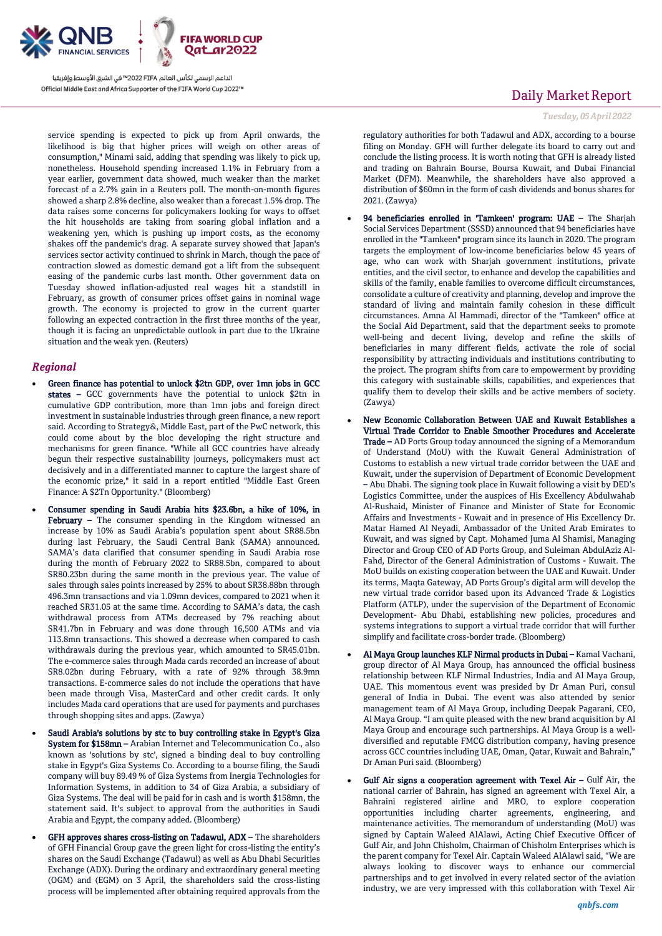

service spending is expected to pick up from April onwards, the likelihood is big that higher prices will weigh on other areas of consumption," Minami said, adding that spending was likely to pick up, nonetheless. Household spending increased 1.1% in February from a year earlier, government data showed, much weaker than the market forecast of a 2.7% gain in a Reuters poll. The month-on-month figures showed a sharp 2.8% decline, also weaker than a forecast 1.5% drop. The data raises some concerns for policymakers looking for ways to offset the hit households are taking from soaring global inflation and a weakening yen, which is pushing up import costs, as the economy shakes off the pandemic's drag. A separate survey showed that Japan's services sector activity continued to shrink in March, though the pace of contraction slowed as domestic demand got a lift from the subsequent easing of the pandemic curbs last month. Other government data on Tuesday showed inflation-adjusted real wages hit a standstill in February, as growth of consumer prices offset gains in nominal wage growth. The economy is projected to grow in the current quarter following an expected contraction in the first three months of the year, though it is facing an unpredictable outlook in part due to the Ukraine situation and the weak yen. (Reuters)

### *Regional*

- Green finance has potential to unlock \$2tn GDP, over 1mn jobs in GCC states – GCC governments have the potential to unlock \$2tn in cumulative GDP contribution, more than 1mn jobs and foreign direct investment in sustainable industries through green finance, a new report said. According to Strategy&, Middle East, part of the PwC network, this could come about by the bloc developing the right structure and mechanisms for green finance. "While all GCC countries have already begun their respective sustainability journeys, policymakers must act decisively and in a differentiated manner to capture the largest share of the economic prize," it said in a report entitled "Middle East Green Finance: A \$2Tn Opportunity." (Bloomberg)
- Consumer spending in Saudi Arabia hits \$23.6bn, a hike of 10%, in February - The consumer spending in the Kingdom witnessed an increase by 10% as Saudi Arabia's population spent about SR88.5bn during last February, the Saudi Central Bank (SAMA) announced. SAMA's data clarified that consumer spending in Saudi Arabia rose during the month of February 2022 to SR88.5bn, compared to about SR80.23bn during the same month in the previous year. The value of sales through sales points increased by 25% to about SR38.88bn through 496.3mn transactions and via 1.09mn devices, compared to 2021 when it reached SR31.05 at the same time. According to SAMA's data, the cash withdrawal process from ATMs decreased by 7% reaching about SR41.7bn in February and was done through 16,500 ATMs and via 113.8mn transactions. This showed a decrease when compared to cash withdrawals during the previous year, which amounted to SR45.01bn. The e-commerce sales through Mada cards recorded an increase of about SR8.02bn during February, with a rate of 92% through 38.9mn transactions. E-commerce sales do not include the operations that have been made through Visa, MasterCard and other credit cards. It only includes Mada card operations that are used for payments and purchases through shopping sites and apps. (Zawya)
- Saudi Arabia's solutions by stc to buy controlling stake in Egypt's Giza System for \$158mn – Arabian Internet and Telecommunication Co., also known as 'solutions by stc', signed a binding deal to buy controlling stake in Egypt's Giza Systems Co. According to a bourse filing, the Saudi company will buy 89.49 % of Giza Systems from Inergia Technologies for Information Systems, in addition to 34 of Giza Arabia, a subsidiary of Giza Systems. The deal will be paid for in cash and is worth \$158mn, the statement said. It's subject to approval from the authorities in Saudi Arabia and Egypt, the company added. (Bloomberg)
- GFH approves shares cross-listing on Tadawul, ADX The shareholders of GFH Financial Group gave the green light for cross-listing the entity's shares on the Saudi Exchange (Tadawul) as well as Abu Dhabi Securities Exchange (ADX). During the ordinary and extraordinary general meeting (OGM) and (EGM) on 3 April, the shareholders said the cross-listing process will be implemented after obtaining required approvals from the

# Daily Market Report

#### *Tuesday, 05April 2022*

regulatory authorities for both Tadawul and ADX, according to a bourse filing on Monday. GFH will further delegate its board to carry out and conclude the listing process. It is worth noting that GFH is already listed and trading on Bahrain Bourse, Boursa Kuwait, and Dubai Financial Market (DFM). Meanwhile, the shareholders have also approved a distribution of \$60mn in the form of cash dividends and bonus shares for 2021. (Zawya)

- 94 beneficiaries enrolled in 'Tamkeen' program: UAE The Sharjah Social Services Department (SSSD) announced that 94 beneficiaries have enrolled in the "Tamkeen" program since its launch in 2020. The program targets the employment of low-income beneficiaries below 45 years of age, who can work with Sharjah government institutions, private entities, and the civil sector, to enhance and develop the capabilities and skills of the family, enable families to overcome difficult circumstances, consolidate a culture of creativity and planning, develop and improve the standard of living and maintain family cohesion in these difficult circumstances. Amna Al Hammadi, director of the "Tamkeen" office at the Social Aid Department, said that the department seeks to promote well-being and decent living, develop and refine the skills of beneficiaries in many different fields, activate the role of social responsibility by attracting individuals and institutions contributing to the project. The program shifts from care to empowerment by providing this category with sustainable skills, capabilities, and experiences that qualify them to develop their skills and be active members of society. (Zawya)
- New Economic Collaboration Between UAE and Kuwait Establishes a Virtual Trade Corridor to Enable Smoother Procedures and Accelerate Trade – AD Ports Group today announced the signing of a Memorandum of Understand (MoU) with the Kuwait General Administration of Customs to establish a new virtual trade corridor between the UAE and Kuwait, under the supervision of Department of Economic Development – Abu Dhabi. The signing took place in Kuwait following a visit by DED's Logistics Committee, under the auspices of His Excellency Abdulwahab Al-Rushaid, Minister of Finance and Minister of State for Economic Affairs and Investments - Kuwait and in presence of His Excellency Dr. Matar Hamed Al Neyadi, Ambassador of the United Arab Emirates to Kuwait, and was signed by Capt. Mohamed Juma Al Shamisi, Managing Director and Group CEO of AD Ports Group, and Suleiman AbdulAziz Al-Fahd, Director of the General Administration of Customs - Kuwait. The MoU builds on existing cooperation between the UAE and Kuwait. Under its terms, Maqta Gateway, AD Ports Group's digital arm will develop the new virtual trade corridor based upon its Advanced Trade & Logistics Platform (ATLP), under the supervision of the Department of Economic Development- Abu Dhabi, establishing new policies, procedures and systems integrations to support a virtual trade corridor that will further simplify and facilitate cross-border trade. (Bloomberg)
- Al Maya Group launches KLF Nirmal products in Dubai Kamal Vachani, group director of Al Maya Group, has announced the official business relationship between KLF Nirmal Industries, India and Al Maya Group, UAE. This momentous event was presided by Dr Aman Puri, consul general of India in Dubai. The event was also attended by senior management team of Al Maya Group, including Deepak Pagarani, CEO, Al Maya Group. "I am quite pleased with the new brand acquisition by Al Maya Group and encourage such partnerships. Al Maya Group is a welldiversified and reputable FMCG distribution company, having presence across GCC countries including UAE, Oman, Qatar, Kuwait and Bahrain," Dr Aman Puri said. (Bloomberg)
- Gulf Air signs a cooperation agreement with Texel Air  $-$  Gulf Air, the national carrier of Bahrain, has signed an agreement with Texel Air, a Bahraini registered airline and MRO, to explore cooperation opportunities including charter agreements, engineering, and maintenance activities. The memorandum of understanding (MoU) was signed by Captain Waleed AlAlawi, Acting Chief Executive Officer of Gulf Air, and John Chisholm, Chairman of Chisholm Enterprises which is the parent company for Texel Air. Captain Waleed AlAlawi said, "We are always looking to discover ways to enhance our commercial partnerships and to get involved in every related sector of the aviation industry, we are very impressed with this collaboration with Texel Air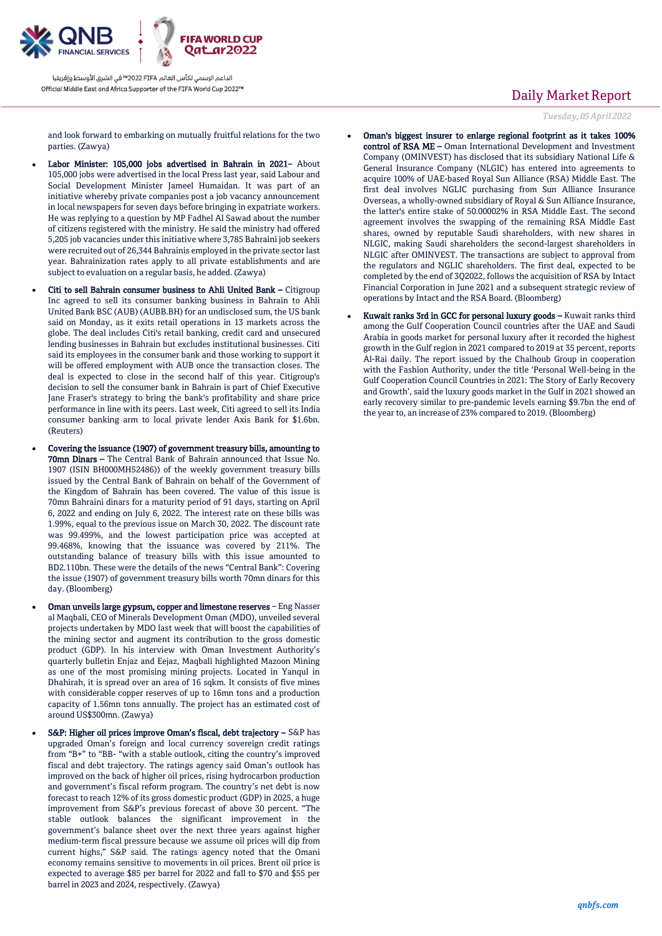

and look forward to embarking on mutually fruitful relations for the two parties. (Zawya)

- Labor Minister: 105,000 jobs advertised in Bahrain in 2021– About 105,000 jobs were advertised in the local Press last year, said Labour and Social Development Minister Jameel Humaidan. It was part of an initiative whereby private companies post a job vacancy announcement in local newspapers for seven days before bringing in expatriate workers. He was replying to a question by MP Fadhel Al Sawad about the number of citizens registered with the ministry. He said the ministry had offered 5,205 job vacancies under this initiative where 3,785 Bahraini job seekers were recruited out of 26,344 Bahrainis employed in the private sector last year. Bahrainization rates apply to all private establishments and are subject to evaluation on a regular basis, he added. (Zawya)
- Citi to sell Bahrain consumer business to Ahli United Bank Citigroup Inc agreed to sell its consumer banking business in Bahrain to Ahli United Bank BSC (AUB) (AUBB.BH) for an undisclosed sum, the US bank said on Monday, as it exits retail operations in 13 markets across the globe. The deal includes Citi's retail banking, credit card and unsecured lending businesses in Bahrain but excludes institutional businesses. Citi said its employees in the consumer bank and those working to support it will be offered employment with AUB once the transaction closes. The deal is expected to close in the second half of this year. Citigroup's decision to sell the consumer bank in Bahrain is part of Chief Executive Jane Fraser's strategy to bring the bank's profitability and share price performance in line with its peers. Last week, Citi agreed to sell its India consumer banking arm to local private lender Axis Bank for \$1.6bn. (Reuters)
- Covering the issuance (1907) of government treasury bills, amounting to 70mn Dinars – The Central Bank of Bahrain announced that Issue No. 1907 (ISIN BH000MH52486)) of the weekly government treasury bills issued by the Central Bank of Bahrain on behalf of the Government of the Kingdom of Bahrain has been covered. The value of this issue is 70mn Bahraini dinars for a maturity period of 91 days, starting on April 6, 2022 and ending on July 6, 2022. The interest rate on these bills was 1.99%, equal to the previous issue on March 30, 2022. The discount rate was 99.499%, and the lowest participation price was accepted at 99.468%, knowing that the issuance was covered by 211%. The outstanding balance of treasury bills with this issue amounted to BD2.110bn. These were the details of the news "Central Bank": Covering the issue (1907) of government treasury bills worth 70mn dinars for this day. (Bloomberg)
- Oman unveils large gypsum, copper and limestone reserves Eng Nasser al Maqbali, CEO of Minerals Development Oman (MDO), unveiled several projects undertaken by MDO last week that will boost the capabilities of the mining sector and augment its contribution to the gross domestic product (GDP). In his interview with Oman Investment Authority's quarterly bulletin Enjaz and Eejaz, Maqbali highlighted Mazoon Mining as one of the most promising mining projects. Located in Yanqul in Dhahirah, it is spread over an area of 16 sqkm. It consists of five mines with considerable copper reserves of up to 16mn tons and a production capacity of 1.56mn tons annually. The project has an estimated cost of around US\$300mn. (Zawya)
- S&P: Higher oil prices improve Oman's fiscal, debt trajectory S&P has upgraded Oman's foreign and local currency sovereign credit ratings from "B+" to "BB- "with a stable outlook, citing the country's improved fiscal and debt trajectory. The ratings agency said Oman's outlook has improved on the back of higher oil prices, rising hydrocarbon production and government's fiscal reform program. The country's net debt is now forecast to reach 12% of its gross domestic product (GDP) in 2025, a huge improvement from S&P's previous forecast of above 30 percent. "The stable outlook balances the significant improvement in the government's balance sheet over the next three years against higher medium-term fiscal pressure because we assume oil prices will dip from current highs," S&P said. The ratings agency noted that the Omani economy remains sensitive to movements in oil prices. Brent oil price is expected to average \$85 per barrel for 2022 and fall to \$70 and \$55 per barrel in 2023 and 2024, respectively. (Zawya)

# Daily Market Report

*Tuesday, 05April 2022*

- Oman's biggest insurer to enlarge regional footprint as it takes 100% control of RSA ME – Oman International Development and Investment Company (OMINVEST) has disclosed that its subsidiary National Life & General Insurance Company (NLGIC) has entered into agreements to acquire 100% of UAE-based Royal Sun Alliance (RSA) Middle East. The first deal involves NGLIC purchasing from Sun Alliance Insurance Overseas, a wholly-owned subsidiary of Royal & Sun Alliance Insurance, the latter's entire stake of 50.00002% in RSA Middle East. The second agreement involves the swapping of the remaining RSA Middle East shares, owned by reputable Saudi shareholders, with new shares in NLGIC, making Saudi shareholders the second-largest shareholders in NLGIC after OMINVEST. The transactions are subject to approval from the regulators and NGLIC shareholders. The first deal, expected to be completed by the end of 3Q2022, follows the acquisition of RSA by Intact Financial Corporation in June 2021 and a subsequent strategic review of operations by Intact and the RSA Board. (Bloomberg)
- Kuwait ranks 3rd in GCC for personal luxury goods Kuwait ranks third among the Gulf Cooperation Council countries after the UAE and Saudi Arabia in goods market for personal luxury after it recorded the highest growth in the Gulf region in 2021 compared to 2019 at 35 percent, reports Al-Rai daily. The report issued by the Chalhoub Group in cooperation with the Fashion Authority, under the title 'Personal Well-being in the Gulf Cooperation Council Countries in 2021: The Story of Early Recovery and Growth', said the luxury goods market in the Gulf in 2021 showed an early recovery similar to pre-pandemic levels earning \$9.7bn the end of the year to, an increase of 23% compared to 2019. (Bloomberg)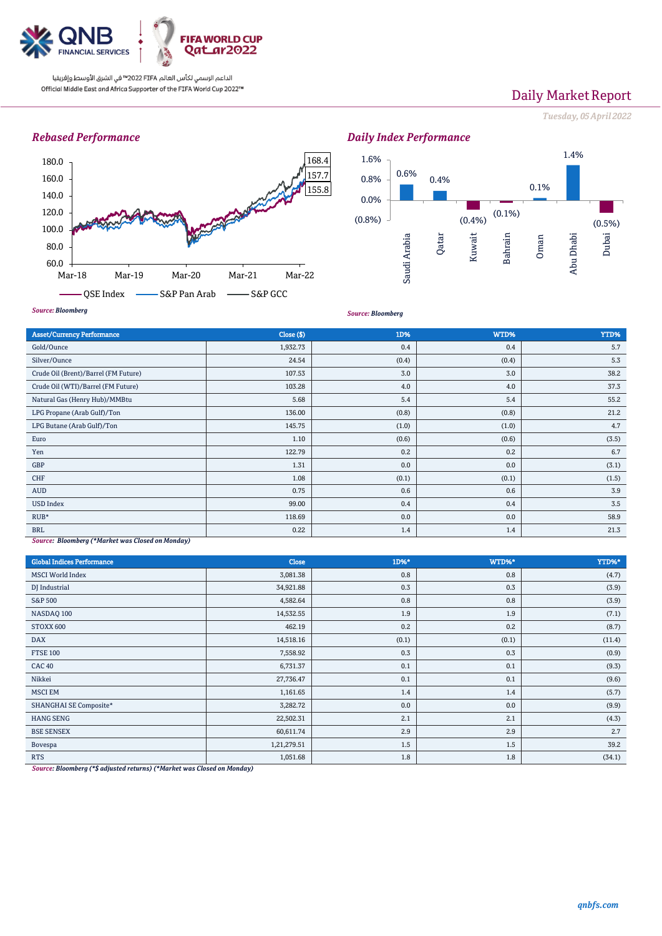

# Daily Market Report

*Tuesday, 05April 2022*

## *Rebased Performance*





*Source: Bloomberg*

| <b>Asset/Currency Performance</b>                | Close ( \$) | 1D%   | WTD%  | YTD%  |  |
|--------------------------------------------------|-------------|-------|-------|-------|--|
| Gold/Ounce                                       | 1,932.73    | 0.4   | 0.4   | 5.7   |  |
| Silver/Ounce                                     | 24.54       | (0.4) | (0.4) | 5.3   |  |
| Crude Oil (Brent)/Barrel (FM Future)             | 107.53      | 3.0   | 3.0   | 38.2  |  |
| Crude Oil (WTI)/Barrel (FM Future)               | 103.28      | 4.0   | 4.0   | 37.3  |  |
| Natural Gas (Henry Hub)/MMBtu                    | 5.68        | 5.4   | 5.4   | 55.2  |  |
| LPG Propane (Arab Gulf)/Ton                      | 136.00      | (0.8) | (0.8) | 21.2  |  |
| LPG Butane (Arab Gulf)/Ton                       | 145.75      | (1.0) | (1.0) | 4.7   |  |
| Euro                                             | 1.10        | (0.6) | (0.6) | (3.5) |  |
| Yen                                              | 122.79      | 0.2   | 0.2   | 6.7   |  |
| GBP                                              | 1.31        | 0.0   | 0.0   | (3.1) |  |
| CHF                                              | 1.08        | (0.1) | (0.1) | (1.5) |  |
| AUD                                              | 0.75        | 0.6   | 0.6   | 3.9   |  |
| <b>USD Index</b>                                 | 99.00       | 0.4   | 0.4   | 3.5   |  |
| $RUB*$                                           | 118.69      | 0.0   | 0.0   | 58.9  |  |
| <b>BRL</b>                                       | 0.22        | 1.4   | 1.4   | 21.3  |  |
| Source: Bloomberg (*Market was Closed on Monday) |             |       |       |       |  |

| <b>Global Indices Performance</b> | <b>Close</b> | 1D%*  | WTD%* | YTD%*  |
|-----------------------------------|--------------|-------|-------|--------|
| <b>MSCI</b> World Index           | 3,081.38     | 0.8   | 0.8   | (4.7)  |
| DJ Industrial                     | 34,921.88    | 0.3   | 0.3   | (3.9)  |
| <b>S&amp;P 500</b>                | 4,582.64     | 0.8   | 0.8   | (3.9)  |
| NASDAQ 100                        | 14,532.55    | 1.9   | 1.9   | (7.1)  |
| STOXX 600                         | 462.19       | 0.2   | 0.2   | (8.7)  |
| <b>DAX</b>                        | 14,518.16    | (0.1) | (0.1) | (11.4) |
| <b>FTSE 100</b>                   | 7,558.92     | 0.3   | 0.3   | (0.9)  |
| <b>CAC 40</b>                     | 6,731.37     | 0.1   | 0.1   | (9.3)  |
| Nikkei                            | 27,736.47    | 0.1   | 0.1   | (9.6)  |
| <b>MSCI EM</b>                    | 1,161.65     | 1.4   | 1.4   | (5.7)  |
| SHANGHAI SE Composite*            | 3,282.72     | 0.0   | 0.0   | (9.9)  |
| <b>HANG SENG</b>                  | 22,502.31    | 2.1   | 2.1   | (4.3)  |
| <b>BSE SENSEX</b>                 | 60,611.74    | 2.9   | 2.9   | 2.7    |
| Bovespa                           | 1,21,279.51  | 1.5   | 1.5   | 39.2   |
| <b>RTS</b>                        | 1,051.68     | 1.8   | 1.8   | (34.1) |

*Source: Bloomberg (\*\$ adjusted returns) (\*Market was Closed on Monday)*